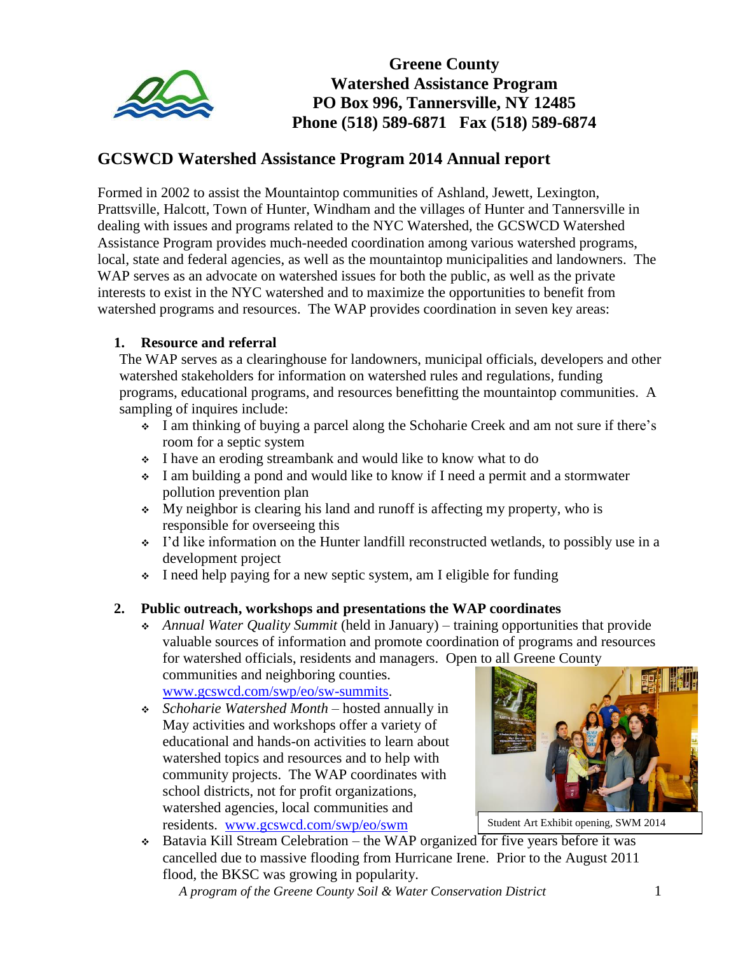

**Greene County Watershed Assistance Program PO Box 996, Tannersville, NY 12485 Phone (518) 589-6871 Fax (518) 589-6874**

# **GCSWCD Watershed Assistance Program 2014 Annual report**

Formed in 2002 to assist the Mountaintop communities of Ashland, Jewett, Lexington, Prattsville, Halcott, Town of Hunter, Windham and the villages of Hunter and Tannersville in dealing with issues and programs related to the NYC Watershed, the GCSWCD Watershed Assistance Program provides much-needed coordination among various watershed programs, local, state and federal agencies, as well as the mountaintop municipalities and landowners. The WAP serves as an advocate on watershed issues for both the public, as well as the private interests to exist in the NYC watershed and to maximize the opportunities to benefit from watershed programs and resources. The WAP provides coordination in seven key areas:

#### **1. Resource and referral**

The WAP serves as a clearinghouse for landowners, municipal officials, developers and other watershed stakeholders for information on watershed rules and regulations, funding programs, educational programs, and resources benefitting the mountaintop communities. A sampling of inquires include:

- I am thinking of buying a parcel along the Schoharie Creek and am not sure if there's room for a septic system
- I have an eroding streambank and would like to know what to do
- I am building a pond and would like to know if I need a permit and a stormwater pollution prevention plan
- My neighbor is clearing his land and runoff is affecting my property, who is responsible for overseeing this
- $\cdot$  I'd like information on the Hunter landfill reconstructed wetlands, to possibly use in a development project
- I need help paying for a new septic system, am I eligible for funding

#### **2. Public outreach, workshops and presentations the WAP coordinates**

 *Annual Water Quality Summit* (held in January) – training opportunities that provide valuable sources of information and promote coordination of programs and resources for watershed officials, residents and managers. Open to all Greene County communities and neighboring counties.

[www.gcswcd.com/swp/eo/sw-summits.](http://www.gcswcd.com/swp/eo/sw-summits)

 *Schoharie Watershed Month* – hosted annually in May activities and workshops offer a variety of educational and hands-on activities to learn about watershed topics and resources and to help with community projects. The WAP coordinates with school districts, not for profit organizations, watershed agencies, local communities and residents. [www.gcswcd.com/swp/eo/swm](http://www.gcswcd.com/swp/eo/swm)



Student Art Exhibit opening, SWM 2014

 Batavia Kill Stream Celebration – the WAP organized for five years before it was cancelled due to massive flooding from Hurricane Irene. Prior to the August 2011 flood, the BKSC was growing in popularity.

*A program of the Greene County Soil & Water Conservation District* 1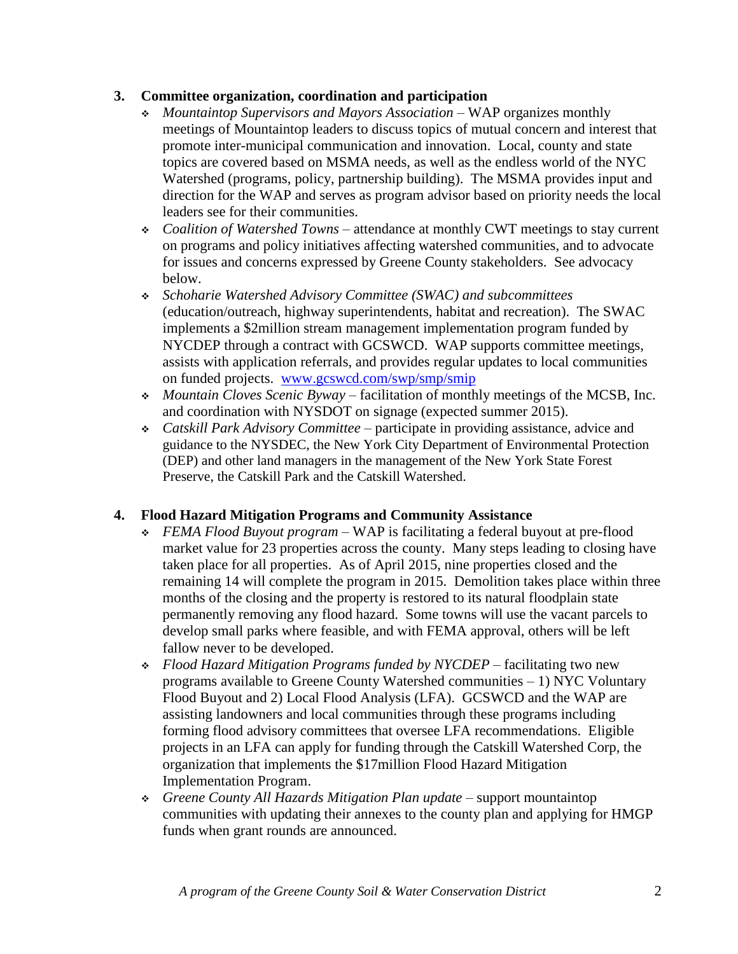# **3. Committee organization, coordination and participation**

- *Mountaintop Supervisors and Mayors Association* WAP organizes monthly meetings of Mountaintop leaders to discuss topics of mutual concern and interest that promote inter-municipal communication and innovation. Local, county and state topics are covered based on MSMA needs, as well as the endless world of the NYC Watershed (programs, policy, partnership building). The MSMA provides input and direction for the WAP and serves as program advisor based on priority needs the local leaders see for their communities.
- *Coalition of Watershed Towns* attendance at monthly CWT meetings to stay current on programs and policy initiatives affecting watershed communities, and to advocate for issues and concerns expressed by Greene County stakeholders. See advocacy below.
- *Schoharie Watershed Advisory Committee (SWAC) and subcommittees* (education/outreach, highway superintendents, habitat and recreation). The SWAC implements a \$2million stream management implementation program funded by NYCDEP through a contract with GCSWCD. WAP supports committee meetings, assists with application referrals, and provides regular updates to local communities on funded projects. [www.gcswcd.com/swp/smp/smip](http://www.gcswcd.com/swp/smp/smip)
- *Mountain Cloves Scenic Byway* facilitation of monthly meetings of the MCSB, Inc. and coordination with NYSDOT on signage (expected summer 2015).
- *Catskill Park Advisory Committee* participate in providing assistance, advice and guidance to the NYSDEC, the New York City Department of Environmental Protection (DEP) and other land managers in the management of the New York State Forest Preserve, the Catskill Park and the Catskill Watershed.

#### **4. Flood Hazard Mitigation Programs and Community Assistance**

- *FEMA Flood Buyout program* WAP is facilitating a federal buyout at pre-flood market value for 23 properties across the county. Many steps leading to closing have taken place for all properties. As of April 2015, nine properties closed and the remaining 14 will complete the program in 2015. Demolition takes place within three months of the closing and the property is restored to its natural floodplain state permanently removing any flood hazard. Some towns will use the vacant parcels to develop small parks where feasible, and with FEMA approval, others will be left fallow never to be developed.
- *Flood Hazard Mitigation Programs funded by NYCDEP* facilitating two new programs available to Greene County Watershed communities – 1) NYC Voluntary Flood Buyout and 2) Local Flood Analysis (LFA). GCSWCD and the WAP are assisting landowners and local communities through these programs including forming flood advisory committees that oversee LFA recommendations. Eligible projects in an LFA can apply for funding through the Catskill Watershed Corp, the organization that implements the \$17million Flood Hazard Mitigation Implementation Program.
- *Greene County All Hazards Mitigation Plan update*  support mountaintop communities with updating their annexes to the county plan and applying for HMGP funds when grant rounds are announced.